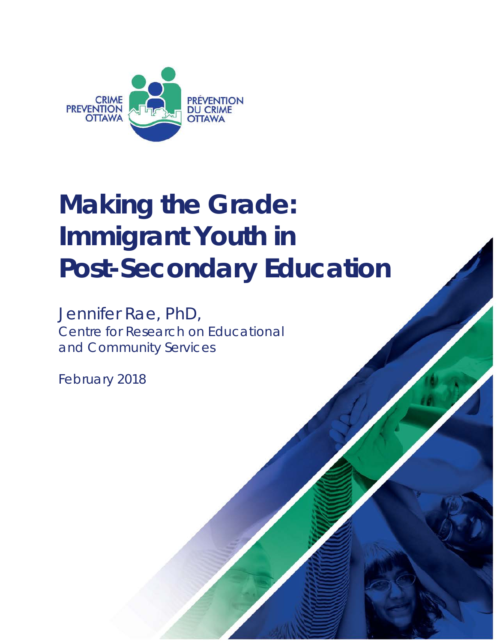

# **Making the Grade: Immigrant Youth in Post-Secondary Education**

Jennifer Rae, PhD, Centre for Research on Educational and Community Services

February 2018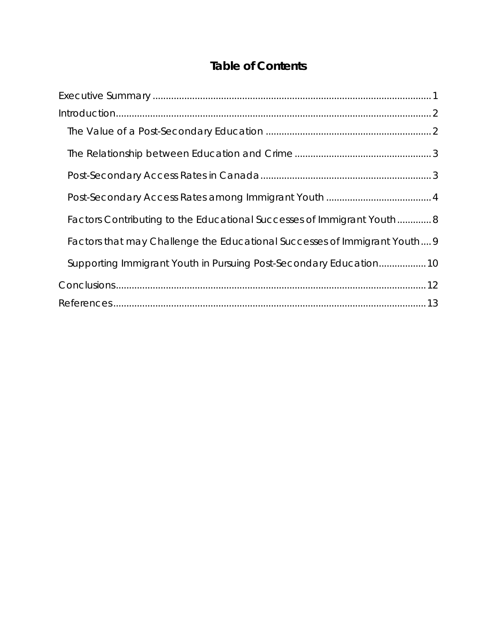## **Table of Contents**

| Factors Contributing to the Educational Successes of Immigrant Youth 8   |
|--------------------------------------------------------------------------|
| Factors that may Challenge the Educational Successes of Immigrant Youth9 |
| Supporting Immigrant Youth in Pursuing Post-Secondary Education10        |
|                                                                          |
|                                                                          |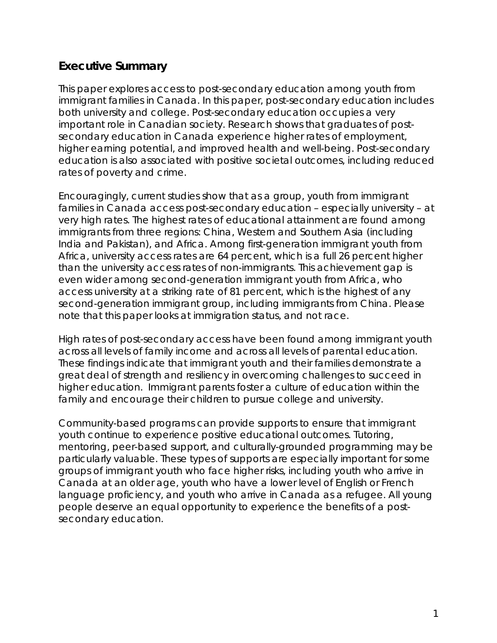## <span id="page-2-0"></span>**Executive Summary**

This paper explores access to post-secondary education among youth from immigrant families in Canada. In this paper, post-secondary education includes both university and college. Post-secondary education occupies a very important role in Canadian society. Research shows that graduates of postsecondary education in Canada experience higher rates of employment, higher earning potential, and improved health and well-being. Post-secondary education is also associated with positive societal outcomes, including reduced rates of poverty and crime.

Encouragingly, current studies show that as a group, youth from immigrant families in Canada access post-secondary education – especially university – at very high rates. The highest rates of educational attainment are found among immigrants from three regions: China, Western and Southern Asia (including India and Pakistan), and Africa. Among first-generation immigrant youth from Africa, university access rates are 64 percent, which is a full 26 percent higher than the university access rates of non-immigrants. This achievement gap is even wider among second-generation immigrant youth from Africa, who access university at a striking rate of 81 percent, which is the highest of any second-generation immigrant group, including immigrants from China. Please note that this paper looks at immigration status, and not race.

High rates of post-secondary access have been found among immigrant youth across all levels of family income and across all levels of parental education. These findings indicate that immigrant youth and their families demonstrate a great deal of strength and resiliency in overcoming challenges to succeed in higher education. Immigrant parents foster a culture of education within the family and encourage their children to pursue college and university.

Community-based programs can provide supports to ensure that immigrant youth continue to experience positive educational outcomes. Tutoring, mentoring, peer-based support, and culturally-grounded programming may be particularly valuable. These types of supports are especially important for some groups of immigrant youth who face higher risks, including youth who arrive in Canada at an older age, youth who have a lower level of English or French language proficiency, and youth who arrive in Canada as a refugee. All young people deserve an equal opportunity to experience the benefits of a postsecondary education.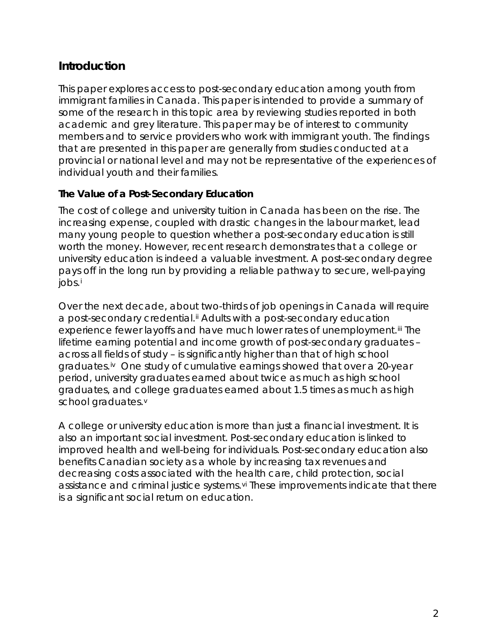## <span id="page-3-0"></span>**Introduction**

This paper explores access to post-secondary education among youth from immigrant families in Canada. This paper is intended to provide a summary of some of the research in this topic area by reviewing studies reported in both academic and grey literature. This paper may be of interest to community members and to service providers who work with immigrant youth. The findings that are presented in this paper are generally from studies conducted at a provincial or national level and may not be representative of the experiences of individual youth and their families.

#### <span id="page-3-1"></span>*The Value of a Post-Secondary Education*

The cost of college and university tuition in Canada has been on the rise. The increasing expense, coupled with drastic changes in the labour market, lead many young people to question whether a post-secondary education is still worth the money. However, recent research demonstrates that a college or university education is indeed a valuable investment. A post-secondary degree pays off in the long run by providing a reliable pathway to secure, well-paying jobs.[i](#page-15-0)

Over the next decade, about two-thirds of job openings in Canada will require a post-secondary credential.<sup>[ii](#page-15-1)</sup> Adults with a post-secondary education experience fewer layoffs and have much lower rates of unemployment.<sup>[iii](#page-15-2)</sup> The lifetime earning potential and income growth of post-secondary graduates – across all fields of study – is significantly higher than that of high school graduates.[iv](#page-15-3) One study of cumulative earnings showed that over a 20-year period, university graduates earned about twice as much as high school graduates, and college graduates earned about 1.5 times as much as high school graduates.[v](#page-15-4)

A college or university education is more than just a financial investment. It is also an important social investment. Post-secondary education is linked to improved health and well-being for individuals. Post-secondary education also benefits Canadian society as a whole by increasing tax revenues and decreasing costs associated with the health care, child protection, social assistance and criminal justice systems.<sup>[vi](#page-15-5)</sup> These improvements indicate that there is a significant social return on education.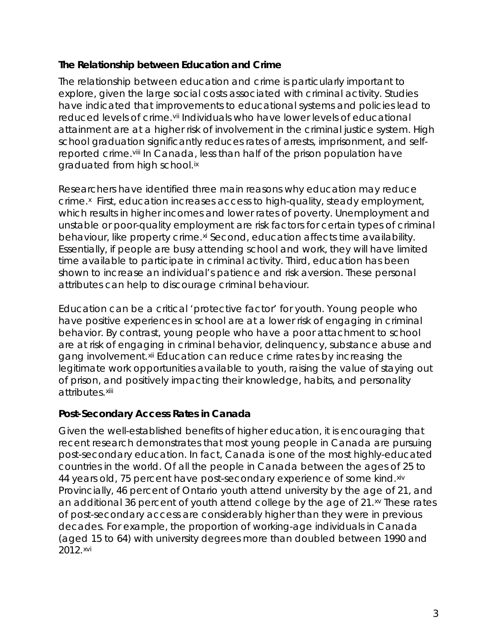#### <span id="page-4-0"></span>*The Relationship between Education and Crime*

The relationship between education and crime is particularly important to explore, given the large social costs associated with criminal activity. Studies have indicated that improvements to educational systems and policies lead to reduced levels of crime.<sup>[vii](#page-15-6)</sup> Individuals who have lower levels of educational attainment are at a higher risk of involvement in the criminal justice system. High school graduation significantly reduces rates of arrests, imprisonment, and selfreported crime.<sup>[viii](#page-16-0)</sup> In Canada, less than half of the prison population have graduated from high school.[ix](#page-16-1)

Researchers have identified three main reasons why education may reduce crime.<sup>x</sup> First, education increases access to high-quality, steady employment, which results in higher incomes and lower rates of poverty. Unemployment and unstable or poor-quality employment are risk factors for certain types of criminal behaviour, like property crime.<sup>[xi](#page-16-3)</sup> Second, education affects time availability. Essentially, if people are busy attending school and work, they will have limited time available to participate in criminal activity. Third, education has been shown to increase an individual's patience and risk aversion. These personal attributes can help to discourage criminal behaviour.

Education can be a critical 'protective factor' for youth. Young people who have positive experiences in school are at a lower risk of engaging in criminal behavior. By contrast, young people who have a poor attachment to school are at risk of engaging in criminal behavior, delinquency, substance abuse and gang involvement.<sup>[xii](#page-16-4)</sup> Education can reduce crime rates by increasing the legitimate work opportunities available to youth, raising the value of staying out of prison, and positively impacting their knowledge, habits, and personality attributes. [xiii](#page-16-5)

#### <span id="page-4-1"></span>*Post-Secondary Access Rates in Canada*

Given the well-established benefits of higher education, it is encouraging that recent research demonstrates that most young people in Canada are pursuing post-secondary education. In fact, Canada is one of the most highly-educated countries in the world. Of all the people in Canada between the ages of 25 to 44 years old, 75 percent have post-secondary experience of some kind. [xiv](#page-16-6) Provincially, 46 percent of Ontario youth attend university by the age of 21, and an additional 36 percent of youth attend college by the age of 21.<sup>[xv](#page-16-7)</sup> These rates of post-secondary access are considerably higher than they were in previous decades. For example, the proportion of working-age individuals in Canada (aged 15 to 64) with university degrees more than doubled between 1990 and 2012.[xvi](#page-17-0)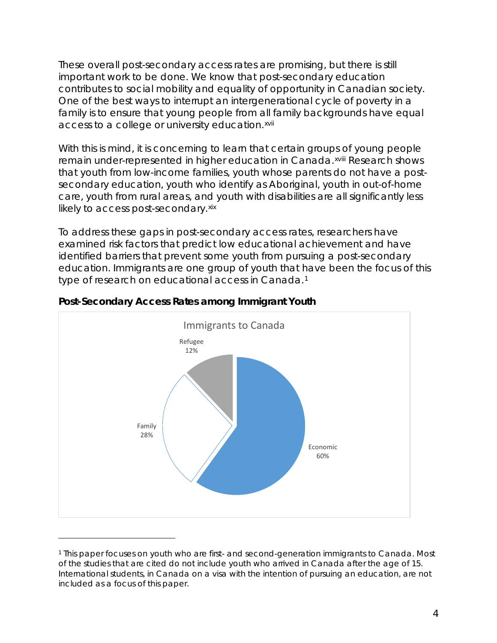These overall post-secondary access rates are promising, but there is still important work to be done. We know that post-secondary education contributes to social mobility and equality of opportunity in Canadian society. One of the best ways to interrupt an intergenerational cycle of poverty in a family is to ensure that young people from all family backgrounds have equal access to a college or university education.<sup>[xvii](#page-17-1)</sup>

With this is mind, it is concerning to learn that certain groups [o](#page-17-2)f young people remain under-represented in higher education in Canada.xviii Research shows that youth from low-income families, youth whose parents do not have a postsecondary education, youth who identify as Aboriginal, youth in out-of-home care, youth from rural areas, and youth with disabilities are all significantly less likely to access post-secondary. [xix](#page-17-3)

To address these gaps in post-secondary access rates, researchers have examined risk factors that predict low educational achievement and have identified barriers that prevent some youth from pursuing a post-secondary education. Immigrants are one group of youth that have been the focus of this type of research on educational access in Canada.[1](#page-5-1)



#### <span id="page-5-0"></span>*Post-Secondary Access Rates among Immigrant Youth*

<span id="page-5-1"></span><sup>1</sup> This paper focuses on youth who are first- and second-generation immigrants to Canada. Most of the studies that are cited do not include youth who arrived in Canada after the age of 15. International students, in Canada on a visa with the intention of pursuing an education, are not included as a focus of this paper.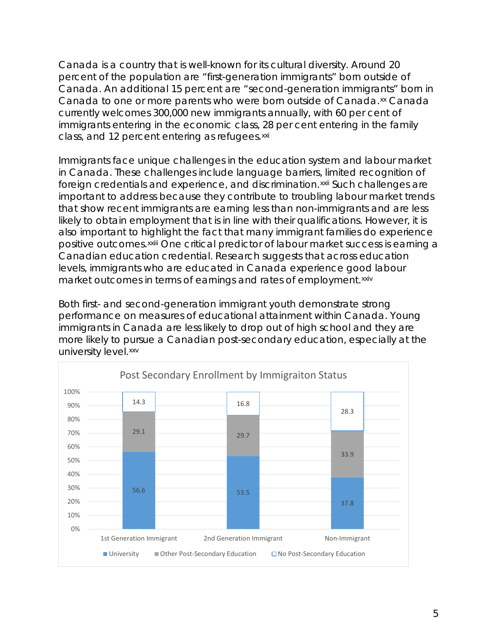Canada is a country that is well-known for its cultural diversity. Around 20 percent of the population are "first-generation immigrants" born outside of Canada. An additional 15 percent are "second-generation immigrants" born in Canada to one or more parents who were born outside of Canada.[xx](#page-17-4) Canada currently welcomes 300,000 new immigrants annually, with 60 per cent of immigrants entering in the economic class, 28 per cent entering in the family class, and 12 percent entering as refugees.<sup>[xxi](#page-17-5)</sup>

Immigrants face unique challenges in the education system and labour market in Canada. These challenges include language barriers, limited recognition of foreign credentials and experience, and discrimination.[xxii](#page-17-6) Such challenges are positive outcomes. <sup>xxiii</sup> One critical predictor of labour market success is earning a important to address because they contribute to troubling labour market trends that show recent immigrants are earning less than non-immigrants and are less likely to obtain employment that is in line with their qualifications. However, it is also important to hig[h](#page-17-7)light the fact that many immigrant families do experience Canadian education credential. Research suggests that across education levels, immigrants who are educated in Canada experience good labour market outcomes in terms of earnings and rates of employment.[xxiv](#page-17-8)

Both first- and second-generation immigrant youth demonstrate strong performance on measures of educational attainment within Canada. Young immigrants in Canada are less likely to drop out of high school and they are more likely to pursue a Canadian post-secondary education, especially at the university level.[xxv](#page-17-9)

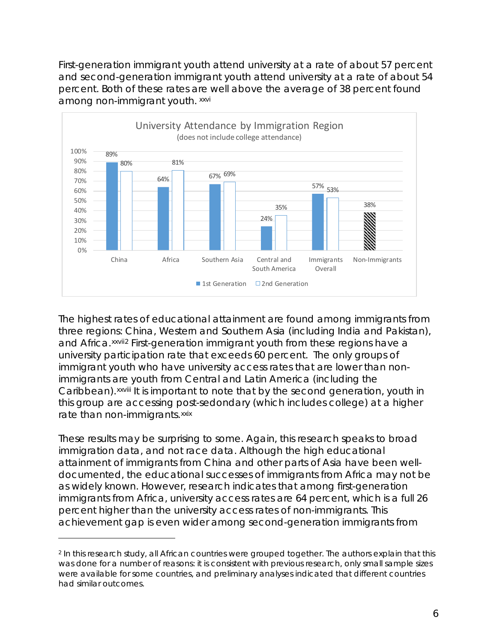First-generation immigrant youth attend university at a rate of about 57 percent and second-generation immigrant youth attend university at a rate of about 54 percent. Both of these rates are well above the average of 38 percent found among non-immigrant youth. [xxvi](#page-18-0)



The highest rates of educational attainment are found among immigrants from three regions: China, Western and Southern Asia (including India and Pakistan), and Africa.<sup>xxvii[2](#page-7-0)</sup> First-generation immigrant youth from these regions have a Caribbean). XXV[I](#page-18-1)II It is important to note that by the second generation, youth in university participation rate that exceeds 60 percent. The only groups of immigrant youth who have university access rates that are lower than nonimmigrants are youth from Central and Latin America (including the this group are accessing post-sedondary (which includes college) at a higher rate than non-immigrants.[xxix](#page-18-2)

These results may be surprising to some. Again, this research speaks to broad immigration data, and not race data. Although the high educational attainment of immigrants from China and other parts of Asia have been welldocumented, the educational successes of immigrants from Africa may not be as widely known. However, research indicates that among first-generation immigrants from Africa, university access rates are 64 percent, which is a full 26 percent higher than the university access rates of non-immigrants. This achievement gap is even wider among second-generation immigrants from

<span id="page-7-0"></span><sup>2</sup> In this research study, all African countries were grouped together. The authors explain that this was done for a number of reasons: it is consistent with previous research, only small sample sizes were available for some countries, and preliminary analyses indicated that different countries had similar outcomes.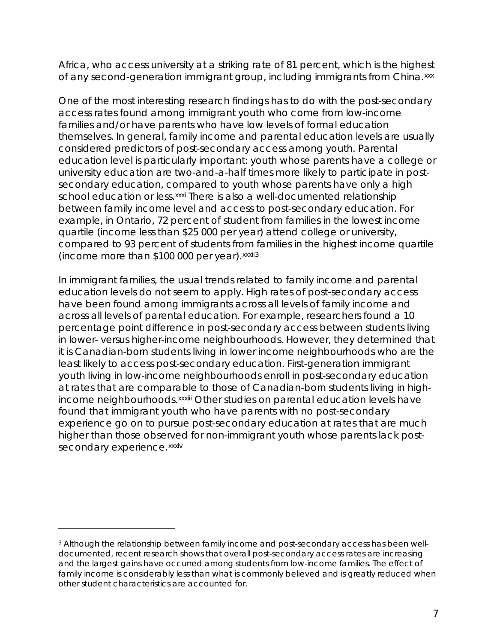Africa, who access university at a striking rate of 81 percent, which is the highest of any second-generation immigrant group, including immigrants from China.[xxx](#page-18-3)

One of the most interesting research findings has to do with the post-secondary access rates found among immigrant youth who come from low-income families and/or have parents who have low levels of formal education themselves. In general, family income and parental education levels are usually considered predictors of post-secondary access among youth. Parental education level is particularly important: youth whose parents have a college or university education are two-and-a-half times more likely to participate in postsecondary education, compared to youth whose parents have only a high school education or less. [xxxi](#page-18-4) There is also a well-documented relationship (income more than \$100 000 per year). xxxii[3](#page-8-0) between family income level and access to post-secondary education. For example, in Ontario, 72 percent of student from families in the lowest income quartile (income less than \$25 000 per year) attend college or university, compared to 93 percent of students from families in the highest income quartile

In immigrant families, the usual trends related to family income and parental education levels do not seem to apply. High rates of post-secondary access have been found among immigrants across all levels of family income and across all levels of parental education. For example, researchers found a 10 percentage point difference in post-secondary access between students living in lower- versus higher-income neighbourhoods. However, they determined that it is Canadian-born students living in lower income neighbourhoods who are the least likely to access post-secondary education. First-generation immigrant youth living in low-income neighbourhoods enroll in post-secondary education at rates that are comparable to those of Canadian-born students living in high-income neighbourhoods. xxxiii [O](#page-18-5)ther studies on parental education levels have secondary experience.<sup>xxxiv</sup> found that immigrant youth who have parents with no post-secondary experience go on to pursue post-secondary education at rates that are much higher than those observe[d](#page-19-0) for non-immigrant youth whose parents lack post-

<span id="page-8-0"></span><sup>3</sup> Although the relationship between family income and post-secondary access has been welldocumented, recent research shows that overall post-secondary access rates are increasing and the largest gains have occurred among students from low-income families. The effect of family income is considerably less than what is commonly believed and is greatly reduced when other student characteristics are accounted for.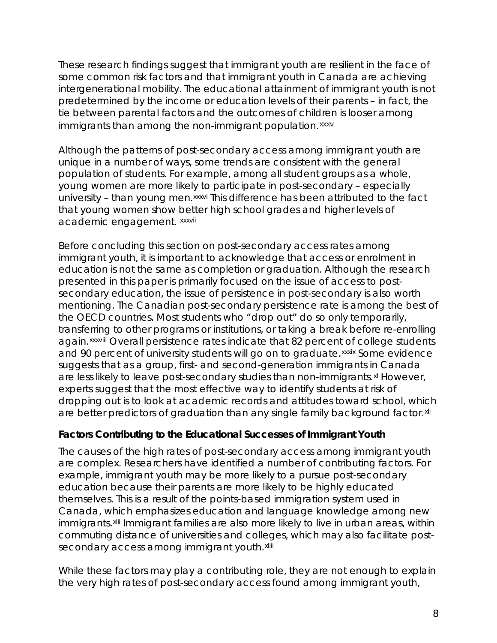These research findings suggest that immigrant youth are resilient in the face of some common risk factors and that immigrant youth in Canada are achieving intergenerational mobility. The educational attainment of immigrant youth is not predetermined by the income or education levels of their parents – in fact, the tie between parental factors and the outcomes of children is looser among immigrants than among the non-immigrant population.<sup>[xxxv](#page-19-1)</sup>

Although the patterns of post-secondary access among immigrant youth are unique in a number of ways, some trends are consistent with the general population of students. For example, among all student groups as a whole, young women are more likely t[o](#page-19-2) participate in post-secondary – especially university – than young men.<sup>xxxvi</sup> This difference has been attributed to the fact academic engagement. xxxvii that young women show bet[te](#page-19-3)r high school grades and higher levels of

Before concluding this section on post-secondary access rates among immigrant youth, it is important to acknowledge that access or enrolment in education is not the same as completion or graduation. Although the research presented in this paper is primarily focused on the issue of *access* to postsecondary education, the issue of *persistence* in post-secondary is also worth mentioning. The Canadian post-secondary persistence rate is among the best of the OECD countries. Most students who "drop out" do so only temporarily, transferring to other programs or institutions, or taking a break before re-enrolling again. xxxviii [O](#page-19-4)verall persistence rates indicate that 82 percent of [c](#page-19-5)ollege students and 90 percent of university students will go on to graduate. XXXIX Some evidence suggests that as a group, first- and second-generation immigrants in Canada are less likely to leave post-secondary studies than non-immigrants.<sup>[xl](#page-19-6)</sup> However, experts suggest that the most effective way to identify students at risk of dropping out is to look at academic records and attitudes toward school, which are better predictors of graduation than any single family background factor.[xli](#page-19-7)

#### <span id="page-9-0"></span>*Factors Contributing to the Educational Successes of Immigrant Youth*

The causes of the high rates of post-secondary access among immigrant youth are complex. Researchers have identified a number of contributing factors. For example, immigrant youth may be more likely to a pursue post-secondary education because their parents are more likely to be highly educated themselves. This is a result of the points-based immigration system used in Canada, which emphasizes education and language knowledge among new immigrants. [xlii](#page-19-8) Immigrant families are also more likely to live in urban areas, within secondary access among immigrant youth.<sup>xliii</sup> commuting distance of universities and colle[ge](#page-19-9)s, which may also facilitate post-

While these factors may play a contributing role, they are not enough to explain the very high rates of post-secondary access found among immigrant youth,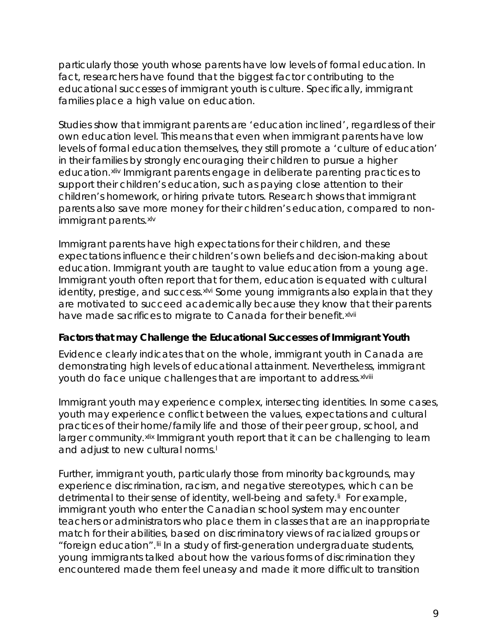particularly those youth whose parents have low levels of formal education. In fact, researchers have found that the biggest factor contributing to the educational successes of immigrant youth is culture. Specifically, immigrant families place a high value on education.

Studies show that immigrant parents are 'education inclined', regardless of their own education level. This means that even when immigrant parents have low levels of formal education themselves, they still promote a 'culture of education' in their families by strongly encouraging their children to pursue a higher education.<sup>[xliv](#page-20-0)</sup> Immigrant parents engage in deliberate parenting practices to support their children's education, such as paying close attention to their children's homework, or hiring private tutors. Research shows that immigrant parents also save more money for their children's education, compared to nonimmigrant parents.[xlv](#page-20-1)

Immigrant parents have high expectations for their children, and these expectations influence their children's own beliefs and decision-making about education. Immigrant youth are taught to value education from a young age. Immigrant youth often report that for them, education is equated with cultural identity, prestige, and success.<sup>xivi</sup> Some young immigrants also explain that they have made sacrifices to migrate to Canada for their benefit. xivii are motivated to succeed academically because they know t[h](#page-20-3)at their parents

#### <span id="page-10-0"></span>*Factors that may Challenge the Educational Successes of Immigrant Youth*

Evidence clearly indicates that on the whole, immigrant youth in Canada are demonstrating high levels of educational attainment. Nevertheless[,](#page-20-4) immigrant youth do face unique challenges that are important to address. xlviii

Immigrant youth may experience complex, intersecting identities. In some cases, youth may experience conflict between the values, expectations and cultural practices of their home/family life and those of their peer group, school, and larger community. [xlix](#page-20-5) Immigrant youth report that it can be challenging to learn and adjust to new cu[l](#page-20-6)tural norms.<sup>1</sup>

Further, immigrant youth, particularly those from minority backgrounds, may experience discrimination, racism, and negative stereotypes, which can be detrimental to their sense of identity, well-being and safety.<sup>II</sup> For example, immigrant youth who enter the Canadian school system may encounter teachers or administrators who place them in classes that are an inappropriate match for their abilities, based on discriminatory views of racialized groups or "foreign education".[lii](#page-20-8) In a study of first-generation undergraduate students, young immigrants talked about how the various forms of discrimination they encountered made them feel uneasy and made it more difficult to transition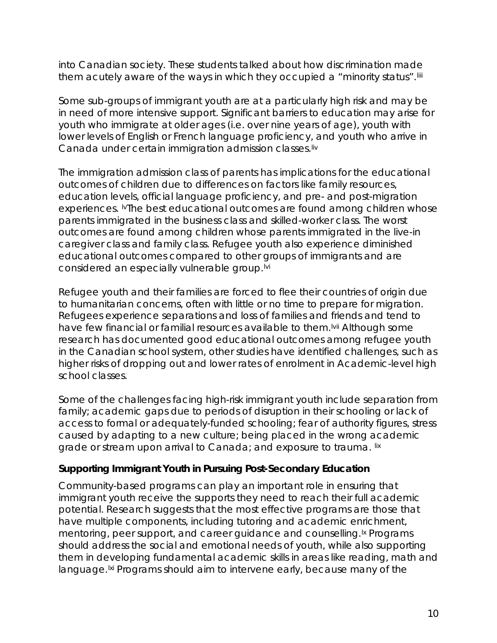into Canadian society. These students talked about how discrimination made them acutely aware of the ways in which they occupied a "minority status". Iiii

Some sub-groups of immigrant youth are at a particularly high risk and may be in need of more intensive support. Significant barriers to education may arise for youth who immigrate at older ages (i.e. over nine years of age), youth with lower levels of English or French language proficiency, and youth who arrive in Canada under certain immigration admission classes.[liv](#page-21-0)

The immigration admission class of parents has implications for the educational outcomes of children due to differences on factors like family resources, education levels, official language proficiency, and pre- and post-migration experiences. <sup>M</sup>The best educational outcomes are found among children whose parents immigrated in the business class and skilled-worker class. The worst outcomes are found among children whose parents immigrated in the live-in caregiver class and family class. Refugee youth also experience diminished educational outcomes compared to other groups of immigrants and are considered an especially vulnerable group.<sup>Ivi</sup>

Refugee youth and their families are forced to flee their countries of origin due to humanitarian concerns, often with little or no time to prepare for migration. Refugees experience separations and loss of families and friends and tend to have few financial or familial resources available to them.<sup>Ivii</sup> Although some research has documented good educational outcomes among refugee youth in the Canadian school system, other studies have identified challenges, such as higher risks of dr[op](#page-21-4)ping out and lower rates of enrolment in Academic-level high school classes.

Some of the challenges facing high-risk immigrant youth include separation from family; academic gaps due to periods of disruption in their schooling or lack of access to formal or adequately-funded schooling; fear of authority figures, stress caused by adapting to a new culture; being placed in the wrong academic grade or stream upon arrival to Canada; and exposure to trauma. Iix

#### <span id="page-11-0"></span>*Supporting Immigrant Youth in Pursuing Post-Secondary Education*

Community-based programs can play an important role in ensuring that immigrant youth receive the supports they need to reach their full academic potential. Research suggests that the most effective programs are those that have multiple components, including tutoring and academic enrichment, mentoring, peer support, and career guidance and counselling.<sup>1x</sup> Programs should address the social and emotional needs of youth, while also supporting them in developing fundamental academic skills in areas like reading, math and language.<sup>|xi</sup> Programs should aim to intervene early, because many of the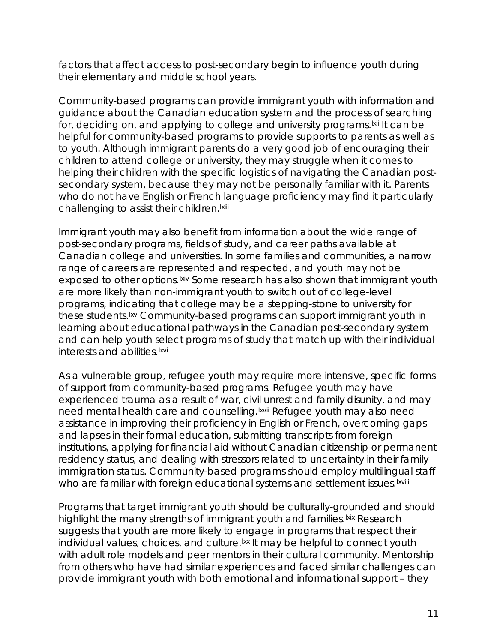factors that affect access to post-secondary begin to influence youth during their elementary and middle school years.

Community-based programs can provide immigrant youth with information and guidance about the Canadian education system and the process of searching for, deciding on, and applying to college and university programs.<sup>Ixii</sup> It can be challenging to assist their children. <sup>Ixiii</sup> helpful for community-based programs to provide supports to parents as well as to youth. Although immigrant parents do a very good job of encouraging their children to attend college or university, they may struggle when it comes to helping their children with the specific logistics of navigating the Canadian postsecondary system, because they may not be personally familiar with it. Parents who do not have English or French l[a](#page-22-1)nguage proficiency may find it particularly

Immigrant youth may also benefit from information about the wide range of post-secondary programs, fields of study, and career paths available at Canadian college and universities. In some families and communities, a narrow range of careers are represented and respected, and youth may not be exposed to other options. Ixiv Some research has also shown that immigrant youth are more likely than non-immigrant youth to switch out of college-level programs, indicating that college may be a stepping-stone to university for these students.<sup>Ixv</sup> Community-based programs can support immigrant youth in learning about educational pathways in the Canadian post-secondary system and can help youth select programs of study that match up with their individual interests and abilities.<sup>Ixvi</sup>

As a vulnerable group, refugee youth may require more intensive, specific forms of support from community-based programs. Refugee youth may have experienced trauma as a result of war, civil [un](#page-22-5)rest and family disunity, and may need mental health care and counselling. Ixvii Refugee youth may also need who are familiar with foreign educational systems and settlement issues. Ixviii assistance in improving their proficiency in English or French, overcoming gaps and lapses in their formal education, submitting transcripts from foreign institutions, applying for financial aid without Canadian citizenship or permanent residency status, and dealing with stressors related to uncertainty in their family immigration status. Community-based programs should employ multilingu[al](#page-22-6) staff

Programs that target immigrant youth should be culturally-grounded and should highlight the many strengths of immigrant youth and families. Ixix Research suggests that youth are more likely to engage in programs that respect their individual values, choices, and culture.<sup>Ixx</sup> It may be helpful to connect youth with adult role models and peer mentors in their cultural community. Mentorship from others who have had similar experiences and faced similar challenges can provide immigrant youth with both emotional and informational support – they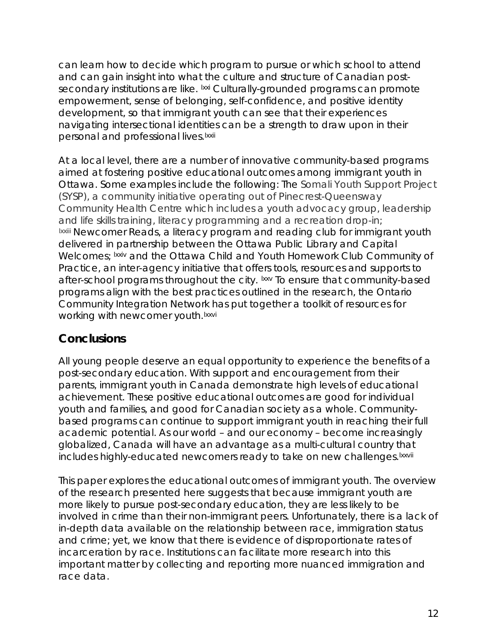can learn how to decide which program to pursue or which school to attend and can gain insight into what the culture and structure of Canadian postsecondary institutions are like. <sup>Ixxi</sup> Culturally-grounded programs can promote personal and professional lives.<sup>Ixxii</sup> empowerment, sense of belonging, self-confidence, and positive identity development, so that immigrant youth can see that their experiences navigating intersectional identiti[es](#page-23-3) can be a strength to draw upon in their

At a local level, there are a number of innovative community-based programs aimed at fostering positive educational outcomes among immigrant youth in Ottawa. Some examples include the following: The Somali Youth Support Project (SYSP), a community initiative operating out of Pinecrest-Queensway Community Health Centre which includes a youth advocacy group, leadership and life skills training, literacy programming and a recreation drop-in; Ixx[i](#page-23-4)ii Newcomer Reads, a literacy program and reading club for immigrant youth Welcomes; Ixxiv and the Ottawa Child and Youth Homework Club Community of working with newcomer youth.<sup>Ixxvi</sup> delivered in partnership between the Ottawa Public Library and Capital Practice, an inter-agency initiative that offers tools, resources and supports to after-school programs throughout the city. Ixxv To ensure that community-based programs align with the best practices outlined in the research, the Ontario Community Integration Network [ha](#page-23-7)s put together a toolkit of resources for

## <span id="page-13-0"></span>**Conclusions**

All young people deserve an equal opportunity to experience the benefits of a post-secondary education. With support and encouragement from their parents, immigrant youth in Canada demonstrate high levels of educational achievement. These positive educational outcomes are good for individual youth and families, and good for Canadian society as a whole. Communitybased programs can continue to support immigrant youth in reaching their full academic potential. As our world – and our economy – become increasingly globalized, Canada will have an advantage as a multi-cultural country tha[t](#page-23-8)  includes highly-educated newcomers ready to take on new challenges. Ixxvii

This paper explores the educational outcomes of immigrant youth. The overview of the research presented here suggests that because immigrant youth are more likely to pursue post-secondary education, they are less likely to be involved in crime than their non-immigrant peers. Unfortunately, there is a lack of in-depth data available on the relationship between race, immigration status and crime; yet, we know that there is evidence of disproportionate rates of incarceration by race. Institutions can facilitate more research into this important matter by collecting and reporting more nuanced immigration and race data.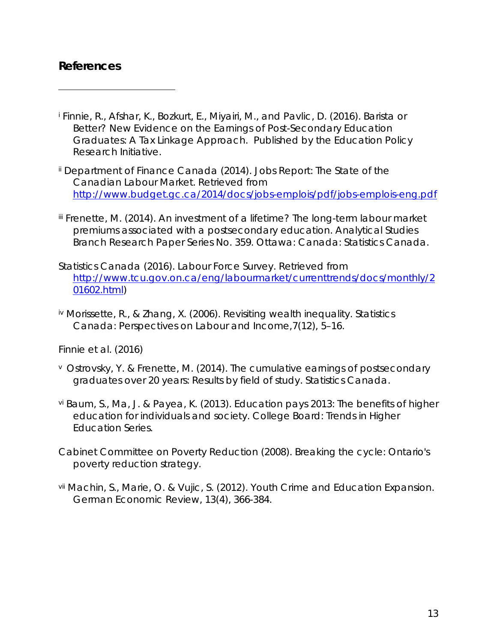### <span id="page-14-0"></span>**References**

 $\overline{a}$ 

- <sup>i</sup> Finnie, R., Afshar, K., Bozkurt, E., Miyairi, M., and Pavlic, D. (2016). *Barista or Better? New Evidence on the Earnings of Post-Secondary Education Graduates: A Tax Linkage Approach.* Published by the Education Policy Research Initiative.
- ii Department of Finance Canada (2014). Jobs Report: The State of the Canadian Labour Market. Retrieved from <http://www.budget.gc.ca/2014/docs/jobs-emplois/pdf/jobs-emplois-eng.pdf>
- iii Frenette, M. (2014). *An investment of a lifetime? The long-term labour market premiums associated with a postsecondary education.* Analytical Studies Branch Research Paper Series No. 359. Ottawa: Canada: Statistics Canada.
- Statistics Canada (2016). *Labour Force Survey.* Retrieved from [http://www.tcu.gov.on.ca/eng/labourmarket/currenttrends/docs/monthly/2](http://www.tcu.gov.on.ca/eng/labourmarket/currenttrends/docs/monthly/201602.html) [01602.html\)](http://www.tcu.gov.on.ca/eng/labourmarket/currenttrends/docs/monthly/201602.html)
- iv Morissette, R., & Zhang, X. (2006). Revisiting wealth inequality. *Statistics Canada: Perspectives on Labour and Income,7(12),* 5–16.

Finnie et al. (2016)

- <sup>v</sup> Ostrovsky, Y. & Frenette, M. (2014). The cumulative earnings of postsecondary graduates over 20 years: Results by field of study. Statistics Canada.
- vi Baum, S., Ma, J. & Payea, K. (2013). *Education pays 2013: The benefits of higher education for individuals and society.* College Board: Trends in Higher Education Series.
- Cabinet Committee on Poverty Reduction (2008). *Breaking the cycle: Ontario's poverty reduction strategy.*
- vii Machin, S., Marie, O. & Vujic, S. (2012). Youth Crime and Education Expansion. German Economic Review, 13(4), 366-384.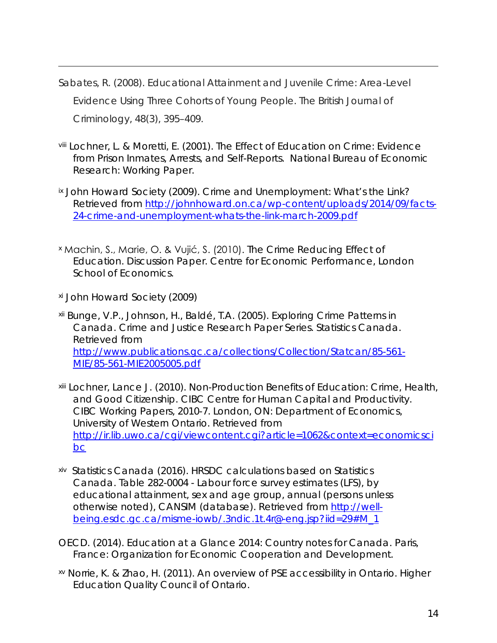- Sabates, R. (2008). Educational Attainment and Juvenile Crime: Area-Level Evidence Using Three Cohorts of Young People. *The British Journal of Criminology*, 48(3), 395–409.
- <span id="page-15-0"></span>viii Lochner, L. & Moretti, E. (2001). *The Effect of Education on Crime: Evidence from Prison Inmates, Arrests, and Self-Reports.* National Bureau of Economic Research: Working Paper.
- <span id="page-15-2"></span><span id="page-15-1"></span>ix John Howard Society (2009). *Crime and Unemployment: What's the Link?* Retrieved from [http://johnhoward.on.ca/wp-content/uploads/2014/09/facts-](http://johnhoward.on.ca/wp-content/uploads/2014/09/facts-24-crime-and-unemployment-whats-the-link-march-2009.pdf)[24-crime-and-unemployment-whats-the-link-march-2009.pdf](http://johnhoward.on.ca/wp-content/uploads/2014/09/facts-24-crime-and-unemployment-whats-the-link-march-2009.pdf)
- <sup>x</sup> Machin, S., Marie, O. & Vujić, S. (2010). The Crime Reducing Effect of Education. Discussion Paper. Centre for Economic Performance, London School of Economics.
- xi John Howard Society (2009)

- <span id="page-15-3"></span>xii Bunge, V.P., Johnson, H., Baldé, T.A. (2005). *Exploring Crime Patterns in Canada.* Crime and Justice Research Paper Series. Statistics Canada. Retrieved from [http://www.publications.gc.ca/collections/Collection/Statcan/85-561-](http://www.publications.gc.ca/collections/Collection/Statcan/85-561-MIE/85-561-MIE2005005.pdf) [MIE/85-561-MIE2005005.pdf](http://www.publications.gc.ca/collections/Collection/Statcan/85-561-MIE/85-561-MIE2005005.pdf)
- <span id="page-15-5"></span><span id="page-15-4"></span>xiii Lochner, Lance J. (2010). *Non-Production Benefits of Education: Crime, Health, and Good Citizenship.* CIBC Centre for Human Capital and Productivity. CIBC Working Papers, 2010-7. London, ON: Department of Economics, University of Western Ontario. Retrieved from [http://ir.lib.uwo.ca/cgi/viewcontent.cgi?article=1062&context=economicsci](http://ir.lib.uwo.ca/cgi/viewcontent.cgi?article=1062&context=economicscibc) [bc](http://ir.lib.uwo.ca/cgi/viewcontent.cgi?article=1062&context=economicscibc)
- <span id="page-15-6"></span>xiv Statistics Canada (2016). *HRSDC calculations based on Statistics Canada*. Table 282-0004 - Labour force survey estimates (LFS), by educational attainment, sex and age group, annual (persons unless otherwise noted), CANSIM (database). Retrieved from [http://well](http://well-being.esdc.gc.ca/misme-iowb/.3ndic.1t.4r@-eng.jsp?iid=29#M_1)[being.esdc.gc.ca/misme-iowb/.3ndic.1t.4r@-eng.jsp?iid=29#M\\_1](http://well-being.esdc.gc.ca/misme-iowb/.3ndic.1t.4r@-eng.jsp?iid=29#M_1)
- OECD. (2014). *Education at a Glance 2014: Country notes for Canada.* Paris, France: Organization for Economic Cooperation and Development.
- xv Norrie, K. & Zhao, H. (2011). *An overview of PSE accessibility in Ontario*. Higher Education Quality Council of Ontario.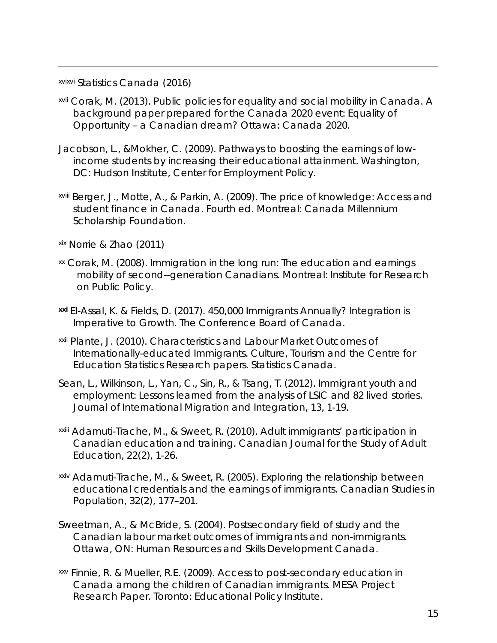xvixvi Statistics Canada (2016)

- xvii Corak, M. (2013). *Public policies for equality and social mobility in Canada.* A background paper prepared for the Canada 2020 event: Equality of Opportunity – a Canadian dream? Ottawa: Canada 2020.
- <span id="page-16-0"></span>Jacobson, L., &Mokher, C. (2009). *Pathways to boosting the earnings of lowincome students by increasing their educational attainment.* Washington, DC: Hudson Institute, Center for Employment Policy.
- <span id="page-16-1"></span>xviii Berger, J., Motte, A., & Parkin, A. (2009). *The price of knowledge: Access and student finance in Canada*. Fourth ed. Montreal: Canada Millennium Scholarship Foundation.
- <span id="page-16-2"></span>xix Norrie & Zhao (2011)
- xx Corak, M. (2008). *Immigration in the long run: The education and earnings mobility of second--generation Canadians*. Montreal: Institute for Research on Public Policy.
- <span id="page-16-4"></span><span id="page-16-3"></span>**xxi** El-Assal, K. & Fields, D. (2017). *450,000 Immigrants Annually? Integration is Imperative to Growth.* The Conference Board of Canada.
- xxii Plante, J. (2010). Characteristics and Labour Market Outcomes of Internationally-educated Immigrants. Culture, Tourism and the Centre for Education Statistics Research papers. Statistics Canada.
- <span id="page-16-5"></span>Sean, L., Wilkinson, L., Yan, C., Sin, R., & Tsang, T. (2012). Immigrant youth and employment: Lessons learned from the analysis of LSIC and 82 lived stories. Journal of International Migration and Integration, 13, 1-19.
- xxiii Adamuti-Trache, M., & Sweet, R. (2010). Adult immigrants' participation in Canadian education and training. Canadian Journal for the Study of Adult Education, 22(2), 1-26.
- <span id="page-16-6"></span>xxiv Adamuti-Trache, M., & Sweet, R. (2005). Exploring the relationship between educational credentials and the earnings of immigrants. Canadian Studies in Population, 32(2), 177–201.
- Sweetman, A., & McBride, S. (2004). Postsecondary field of study and the Canadian labour market outcomes of immigrants and non-immigrants. Ottawa, ON: Human Resources and Skills Development Canada.
- <span id="page-16-7"></span>xxv Finnie, R. & Mueller, R.E. (2009). *Access to post-secondary education in Canada among the children of Canadian immigrants*. *MESA Project Research Paper.* Toronto: Educational Policy Institute.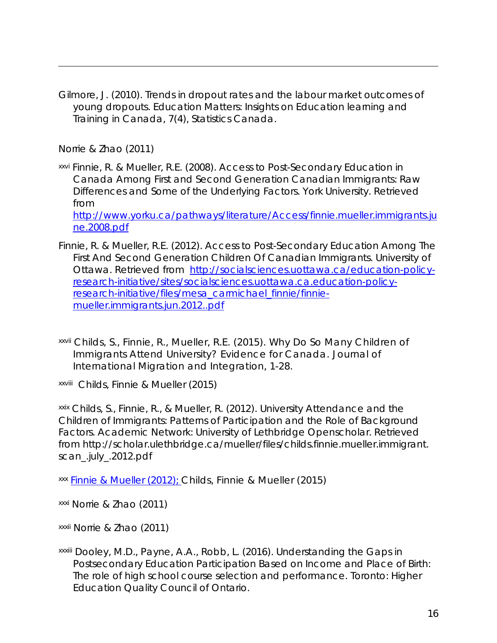<span id="page-17-1"></span><span id="page-17-0"></span>Gilmore, J. (2010). Trends in dropout rates and the labour market outcomes of young dropouts. *Education Matters: Insights on Education learning and Training in Canada, 7(4)*, Statistics Canada.

Norrie & Zhao (2011)

 $\overline{a}$ 

<span id="page-17-2"></span>xxvi Finnie, R. & Mueller, R.E. (2008). Access to Post-Secondary Education in Canada Among First and Second Generation Canadian Immigrants: Raw Differences and Some of the Underlying Factors. York University. Retrieved from

[http://www.yorku.ca/pathways/literature/Access/finnie.mueller.immigrants.ju](http://www.yorku.ca/pathways/literature/Access/finnie.mueller.immigrants.june.2008.pdf) [ne.2008.pdf](http://www.yorku.ca/pathways/literature/Access/finnie.mueller.immigrants.june.2008.pdf)

- <span id="page-17-4"></span><span id="page-17-3"></span>Finnie, R. & Mueller, R.E. (2012). Access to Post-Secondary Education Among The First And Second Generation Children Of Canadian Immigrants. University of Ottawa. Retrieved from [http://socialsciences.uottawa.ca/education-policy](http://socialsciences.uottawa.ca/education-policy-research-initiative/sites/socialsciences.uottawa.ca.education-policy-research-initiative/files/mesa_carmichael_finnie/finnie-mueller.immigrants.jun.2012..pdf)[research-initiative/sites/socialsciences.uottawa.ca.education-policy](http://socialsciences.uottawa.ca/education-policy-research-initiative/sites/socialsciences.uottawa.ca.education-policy-research-initiative/files/mesa_carmichael_finnie/finnie-mueller.immigrants.jun.2012..pdf)[research-initiative/files/mesa\\_carmichael\\_finnie/finnie](http://socialsciences.uottawa.ca/education-policy-research-initiative/sites/socialsciences.uottawa.ca.education-policy-research-initiative/files/mesa_carmichael_finnie/finnie-mueller.immigrants.jun.2012..pdf)[mueller.immigrants.jun.2012..pdf](http://socialsciences.uottawa.ca/education-policy-research-initiative/sites/socialsciences.uottawa.ca.education-policy-research-initiative/files/mesa_carmichael_finnie/finnie-mueller.immigrants.jun.2012..pdf)
- <span id="page-17-6"></span><span id="page-17-5"></span>xxvii Childs, S., Finnie, R., Mueller, R.E. (2015). Why Do So Many Children of Immigrants Attend University? Evidence for Canada. *Journal of International Migration and Integration*, 1-28.

xxviii Childs, Finnie & Mueller (2015)

<span id="page-17-7"></span>xxix Childs, S., Finnie, R., & Mueller, R. (2012). University Attendance and the Children of Immigrants: Patterns of Participation and the Role of Background Factors. *Academic Network: University of Lethbridge Openscholar*. Retrieved from http://scholar.ulethbridge.ca/mueller/files/childs.finnie.mueller.immigrant. scan\_.july\_.2012.pdf

<span id="page-17-8"></span>xxx [Finnie](http://socialsciences.uottawa.ca/education-policy-research-initiative/sites/socialsciences.uottawa.ca.education-policy-research-initiative/files/mesa_carmichael_finnie/finnie-mueller.immigrants.jun.2012..pdf) & Mueller (2012); Childs, Finnie & Mueller (2015)

xxxi Norrie & Zhao (2011)

xxxii Norrie & Zhao (2011)

<span id="page-17-9"></span>xxxiii Dooley, M.D., Payne, A.A., Robb, L. (2016). *Understanding the Gaps in Postsecondary Education Participation Based on Income and Place of Birth: The role of high school course selection and performance.* Toronto: Higher Education Quality Council of Ontario.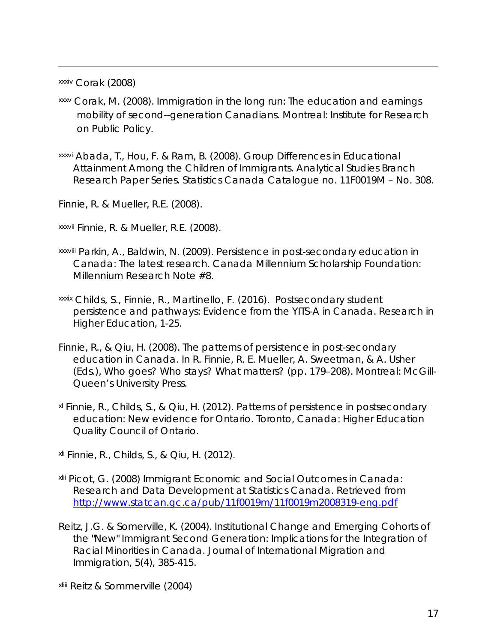xxxiv Corak (2008)

 $\overline{a}$ 

- xxxv Corak, M. (2008). *Immigration in the long run: The education and earnings mobility of second--generation Canadians*. Montreal: Institute for Research on Public Policy.
- <span id="page-18-0"></span>xxxvi Abada, T., Hou, F. & Ram, B. (2008). Group Differences in Educational Attainment Among the Children of Immigrants. Analytical Studies Branch Research Paper Series. Statistics Canada Catalogue no. 11F0019M – No. 308.

Finnie, R. & Mueller, R.E. (2008).

xxxvii Finnie, R. & Mueller, R.E. (2008).

- xxxviii Parkin, A., Baldwin, N. (2009). *Persistence in post-secondary education in Canada: The latest research.* Canada Millennium Scholarship Foundation: Millennium Research Note #8.
- xxxix Childs, S., Finnie, R., Martinello, F. (2016). Postsecondary student persistence and pathways: Evidence from the YITS-A in Canada. *Research in Higher Education*, 1-25.
- Finnie, R., & Qiu, H. (2008). *The patterns of persistence in post-secondary education in Canada.* In R. Finnie, R. E. Mueller, A. Sweetman, & A. Usher (Eds.), Who goes? Who stays? What matters? (pp. 179–208). Montreal: McGill-Queen's University Press.
- <span id="page-18-2"></span><span id="page-18-1"></span>xl Finnie, R., Childs, S., & Qiu, H. (2012). *Patterns of persistence in postsecondary education: New evidence for Ontario.* Toronto, Canada: Higher Education Quality Council of Ontario.

xli Finnie, R., Childs, S., & Qiu, H. (2012).

- <span id="page-18-4"></span><span id="page-18-3"></span>xlii Picot, G. (2008) *Immigrant Economic and Social Outcomes in Canada: Research and Data Development at Statistics Canada.* Retrieved from <http://www.statcan.gc.ca/pub/11f0019m/11f0019m2008319-eng.pdf>
- <span id="page-18-5"></span>Reitz, J.G. & Somerville, K. (2004). Institutional Change and Emerging Cohorts of the "New" Immigrant Second Generation: Implications for the Integration of Racial Minorities in Canada*. Journal of International Migration and Immigration, 5(4),* 385-415.

xliii Reitz & Sommerville (2004)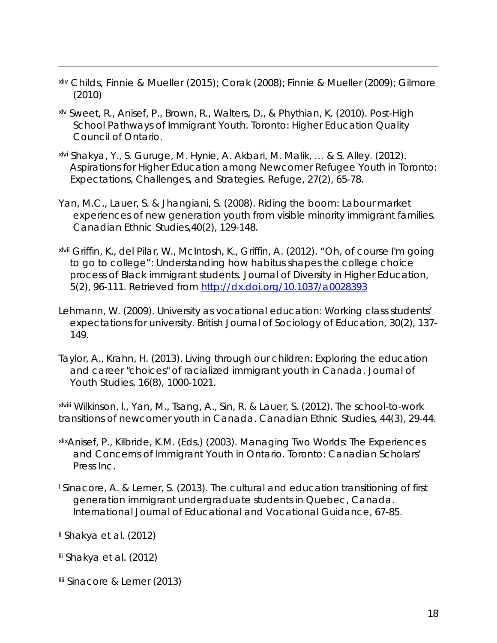- <span id="page-19-0"></span>xliv Childs, Finnie & Mueller (2015); Corak (2008); Finnie & Mueller (2009); Gilmore (2010)
- <span id="page-19-1"></span>xlv Sweet, R., Anisef, P., Brown, R., Walters, D., & Phythian, K. (2010). *Post-High School Pathways of Immigrant Youth.* Toronto: Higher Education Quality Council of Ontario.
- <span id="page-19-2"></span>xlvi Shakya, Y., S. Guruge, M. Hynie, A. Akbari, M. Malik, … & S. Alley. (2012). Aspirations for Higher Education among Newcomer Refugee Youth in Toronto: Expectations, Challenges, and Strategies. *Refuge, 27(2)*, 65-78.
- <span id="page-19-3"></span>Yan, M.C., Lauer, S. & Jhangiani, S. (2008). Riding the boom: Labour market experiences of new generation youth from visible minority immigrant families. *Canadian Ethnic Studies,40(2)*, 129-148.
- <span id="page-19-4"></span>xlvii Griffin, K., del Pilar, W., McIntosh, K., Griffin, A. (2012). "Oh, of course I'm going to go to college": Understanding how habitus shapes the college choice process of Black immigrant students. *Journal of Diversity in Higher Education, 5(2)*, 96-111. Retrieved from <http://dx.doi.org/10.1037/a0028393>
- <span id="page-19-5"></span>Lehmann, W. (2009). University as vocational education: Working class students' expectations for university. *British Journal of Sociology of Education, 30(2),* 137- 149.
- Taylor, A., Krahn, H. (2013). Living through our children: Exploring the education and career "choices" of racialized immigrant youth in Canada. *Journal of Youth Studies, 16(8),* 1000-1021.

<span id="page-19-6"></span>xlviii Wilkinson, l., Yan, M., Tsang, A., Sin, R. & Lauer, S. (2012). The school-to-work transitions of newcomer youth in Canada. Canadian Ethnic Studies, 44(3), 29-44.

- <span id="page-19-7"></span>xlixAnisef, P., Kilbride, K.M. (Eds.) (2003). *Managing Two Worlds: The Experiences and Concerns of Immigrant Youth in Ontario.* Toronto: Canadian Scholars' Press Inc.
- <span id="page-19-8"></span><sup>l</sup> Sinacore, A. & Lerner, S. (2013). The cultural and education transitioning of first generation immigrant undergraduate students in Quebec, Canada. *International Journal of Educational and Vocational Guidance*, 67-85.
- li Shakya et al. (2012)

- lii Shakya et al. (2012)
- <span id="page-19-9"></span>liii Sinacore & Lerner (2013)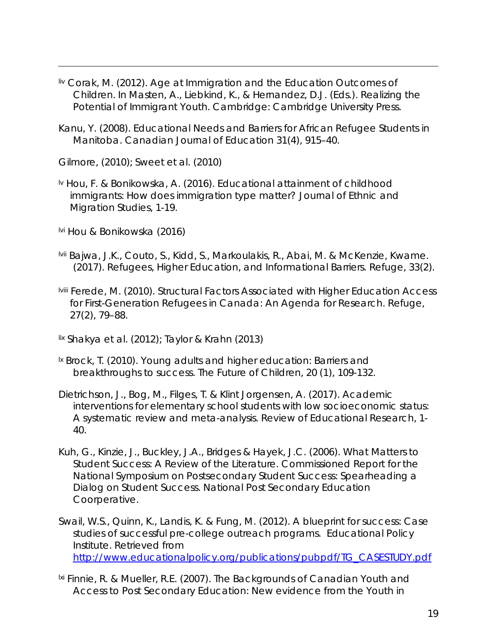- <span id="page-20-0"></span>liv Corak, M. (2012). Age at Immigration and the Education Outcomes of Children. In Masten, A., Liebkind, K., & Hernandez, D.J. (Eds.). *Realizing the Potential of Immigrant Youth*. Cambridge: Cambridge University Press.
- <span id="page-20-1"></span>Kanu, Y. (2008). Educational Needs and Barriers for African Refugee Students in Manitoba. *Canadian Journal of Education 31(4)*, 915–40.

<span id="page-20-2"></span>Gilmore, (2010); Sweet et al. (2010)

- lv Hou, F. & Bonikowska, A. (2016). Educational attainment of childhood immigrants: How does immigration type matter? *Journal of Ethnic and Migration Studies*, 1-19.
- lvi Hou & Bonikowska (2016)

- <span id="page-20-3"></span>lvii Bajwa, J.K., Couto, S., Kidd, S., Markoulakis, R., Abai, M. & McKenzie, Kwame. (2017). Refugees, Higher Education, and Informational Barriers. *Refuge, 33(2)*.
- lviii Ferede, M. (2010). Structural Factors Associated with Higher Education Access for First-Generation Refugees in Canada: An Agenda for Research*. Refuge, 27(2)*, 79–88.
- lix Shakya et al. (2012); Taylor & Krahn (2013)
- <sup>1x</sup> Brock, T. (2010). Young adults and higher education: Barriers and breakthroughs to success. *The Future of Children, 20 (1)*, 109-132.
- <span id="page-20-4"></span>Dietrichson, J., Bog, M., Filges, T. & Klint Jorgensen, A. (2017). Academic interventions for elementary school students with low socioeconomic status: A systematic review and meta-analysis. *Review of Educational Research*, 1- 40.
- <span id="page-20-6"></span><span id="page-20-5"></span>Kuh, G., Kinzie, J., Buckley, J.A., Bridges & Hayek, J.C. (2006). *What Matters to Student Success: A Review of the Literature. Commissioned Report for the National Symposium on Postsecondary Student Success: Spearheading a Dialog on Student Success.* National Post Secondary Education Coorperative.
- <span id="page-20-7"></span>Swail, W.S., Quinn, K., Landis, K. & Fung, M. (2012). *A blueprint for success: Case studies of successful pre-college outreach programs.* Educational Policy Institute. Retrieved from [http://www.educationalpolicy.org/publications/pubpdf/TG\\_CASESTUDY.pdf](http://www.educationalpolicy.org/publications/pubpdf/TG_CASESTUDY.pdf)
- <span id="page-20-9"></span><span id="page-20-8"></span>lxi Finnie, R. & Mueller, R.E. (2007). *The Backgrounds of Canadian Youth and Access to Post Secondary Education: New evidence from the Youth in*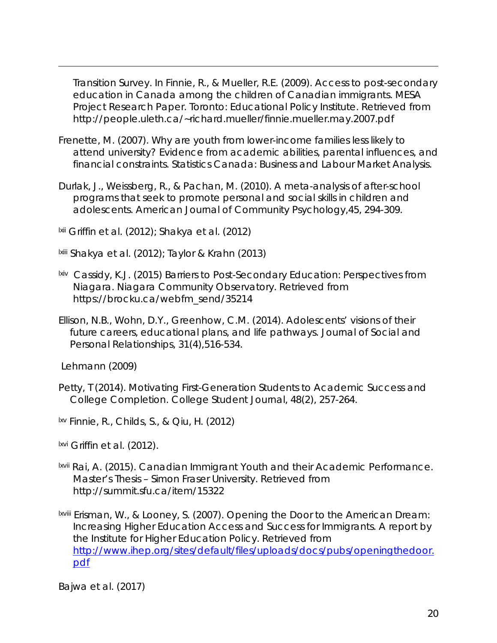*Transition Survey.* In Finnie, R., & Mueller, R.E. (2009). *Access to post-secondary education in Canada among the children of Canadian immigrants*. *MESA Project Research Paper.* Toronto: Educational Policy Institute. Retrieved from http://people.uleth.ca/~richard.mueller/finnie.mueller.may.2007.pdf

- Frenette, M. (2007). *Why are youth from lower-income families less likely to attend university? Evidence from academic abilities, parental influences, and financial constraints.* Statistics Canada: Business and Labour Market Analysis.
- <span id="page-21-1"></span>Durlak, J., Weissberg, R., & Pachan, M. (2010). A meta-analysis of after-school programs that seek to promote personal and social skills in children and adolescents. *American Journal of Community Psychology,45*, 294-309.

<span id="page-21-2"></span>lxii Griffin et al. (2012); Shakya et al. (2012)

<span id="page-21-3"></span>lxiii Shakya et al. (2012); Taylor & Krahn (2013)

- <span id="page-21-4"></span>lxiv Cassidy, K.J. (2015) *Barriers to Post-Secondary Education: Perspectives from Niagara.* Niagara Community Observatory. Retrieved from https://brocku.ca/webfm\_send/35214
- <span id="page-21-5"></span>Ellison, N.B., Wohn, D.Y., Greenhow, C.M. (2014). Adolescents' visions of their future careers, educational plans, and life pathways*. Journal of Social and Personal Relationships, 31(4)*,516-534.

<span id="page-21-6"></span>Lehmann (2009)

<span id="page-21-0"></span> $\overline{a}$ 

Petty, T (2014). Motivating First-Generation Students to Academic Success and College Completion. *College Student Journal, 48(2)*, 257-264.

lxv Finnie, R., Childs, S., & Qiu, H. (2012)

lxvi Griffin et al. (2012).

lxvii Rai, A. (2015). *Canadian Immigrant Youth and their Academic Performance.* Master's Thesis – Simon Fraser University. Retrieved from http://summit.sfu.ca/item/15322

lxviii Erisman, W., & Looney, S. (2007). *Opening the Door to the American Dream: Increasing Higher Education Access and Success for Immigrants.* A report by the Institute for Higher Education Policy. Retrieved from [http://www.ihep.org/sites/default/files/uploads/docs/pubs/openingthedoor.](http://www.ihep.org/sites/default/files/uploads/docs/pubs/openingthedoor.pdf) [pdf](http://www.ihep.org/sites/default/files/uploads/docs/pubs/openingthedoor.pdf)

<span id="page-21-7"></span>Bajwa et al. (2017)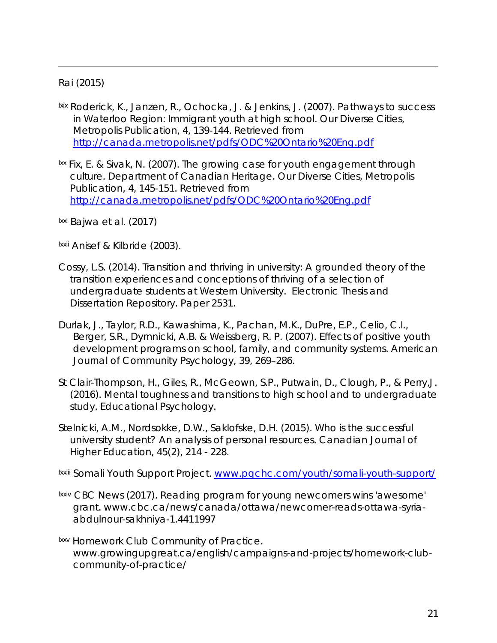#### Rai (2015)

 $\overline{a}$ 

- lxix Roderick, K., Janzen, R., Ochocka, J. & Jenkins, J. (2007). Pathways to success in Waterloo Region: Immigrant youth at high school. *Our Diverse Cities, Metropolis Publication, 4*, 139-144. Retrieved from <http://canada.metropolis.net/pdfs/ODC%20Ontario%20Eng.pdf>
- $\frac{1}{x}$  Fix, E. & Sivak, N. (2007). The growing case for youth engagement through culture. Department of Canadian Heritage. *Our Diverse Cities, Metropolis Publication, 4*, 145-151. Retrieved from <http://canada.metropolis.net/pdfs/ODC%20Ontario%20Eng.pdf>

<span id="page-22-0"></span>lxxi Bajwa et al. (2017)

<span id="page-22-1"></span>lxxii Anisef & Kilbride (2003).

- <span id="page-22-2"></span>Cossy, L.S. (2014). Transition and thriving in university: A grounded theory of the transition experiences and conceptions of thriving of a selection of undergraduate students at Western University. *Electronic Thesis and Dissertation Repository.* Paper 2531.
- Durlak, J., Taylor, R.D., Kawashima, K., Pachan, M.K., DuPre, E.P., Celio, C.I., Berger, S.R., Dymnicki, A.B. & Weissberg, R. P. (2007). Effects of positive youth development programs on school, family, and community systems. *American Journal of Community Psychology, 39*, 269–286.
- St Clair-Thompson, H., Giles, R., McGeown, S.P., Putwain, D., Clough, P., & Perry,J. (2016). Mental toughness and transitions to high school and to undergraduate study. *Educational Psychology*.
- <span id="page-22-4"></span><span id="page-22-3"></span>Stelnicki, A.M., Nordsokke, D.W., Saklofske, D.H. (2015). Who is the successful university student? An analysis of personal resources. *Canadian Journal of Higher Education, 45(2)*, 214 - 228.

<span id="page-22-5"></span>lxxiii Somali Youth Support Project. [www.pqchc.com/youth/somali-youth-support/](http://www.pqchc.com/youth/somali-youth-support/)

- <span id="page-22-6"></span>lxxiv CBC News (2017). Reading program for young newcomers wins 'awesome' grant. www.cbc.ca/news/canada/ottawa/newcomer-reads-ottawa-syriaabdulnour-sakhniya-1.4411997
- **Ixxv Homework Club Community of Practice.** www.growingupgreat.ca/english/campaigns-and-projects/homework-clubcommunity-of-practice/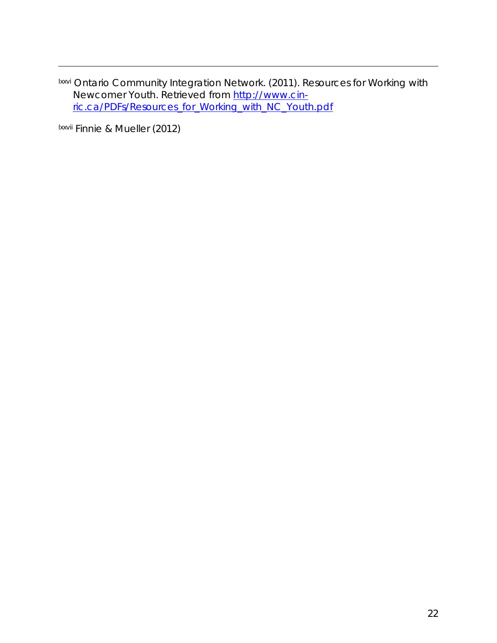<span id="page-23-7"></span>lxxvi Ontario Community Integration Network. (2011). Resources for Working with Newcomer Youth. Retrieved from [http://www.cin](http://www.cin-ric.ca/PDFs/Resources_for_Working_with_NC_Youth.pdf)[ric.ca/PDFs/Resources\\_for\\_Working\\_with\\_NC\\_Youth.pdf](http://www.cin-ric.ca/PDFs/Resources_for_Working_with_NC_Youth.pdf)

<span id="page-23-8"></span><span id="page-23-6"></span><span id="page-23-5"></span><span id="page-23-4"></span><span id="page-23-3"></span><span id="page-23-2"></span><span id="page-23-1"></span><span id="page-23-0"></span>lxxvii Finnie & Mueller (2012)